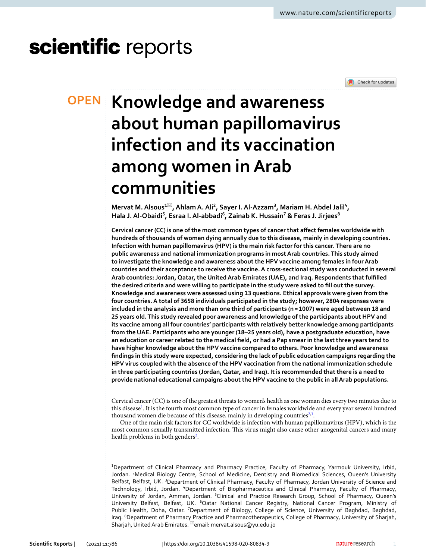# scientific reports



## **Knowledge and awareness OPEN about human papillomavirus infection and its vaccination among women in Arab communities**

 $M$ ervat M. Alsous<sup>1⊠</sup>, Ahlam A. Ali<sup>2</sup>, Sayer I. Al-Azzam<sup>3</sup>, Mariam H. Abdel Jalil<sup>4</sup>, **Hala J. Al‑Obaidi<sup>5</sup> , Esraa I. Al‑abbadi<sup>6</sup> , Zainab K. Hussain<sup>7</sup> & Feras J. Jirjees<sup>8</sup>**

**Cervical cancer (CC) is one of the most common types of cancer that affect females worldwide with hundreds of thousands of women dying annually due to this disease, mainly in developing countries. Infection with human papillomavirus (HPV) is the main risk factor for this cancer. There are no public awareness and national immunization programs in most Arab countries. This study aimed to investigate the knowledge and awareness about the HPV vaccine among females in four Arab countries and their acceptance to receive the vaccine. A cross‑sectional study was conducted in several Arab countries: Jordan, Qatar, the United Arab Emirates (UAE), and Iraq. Respondents that fulfilled the desired criteria and were willing to participate in the study were asked to fill out the survey. Knowledge and awareness were assessed using 13 questions. Ethical approvals were given from the four countries. A total of 3658 individuals participated in the study; however, 2804 responses were included in the analysis and more than one third of participants (n = 1007) were aged between 18 and 25 years old. This study revealed poor awareness and knowledge of the participants about HPV and its vaccine among all four countries' participants with relatively better knowledge among participants from the UAE. Participants who are younger (18–25 years old), have a postgraduate education, have an education or career related to the medical field, or had a Pap smear in the last three years tend to have higher knowledge about the HPV vaccine compared to others. Poor knowledge and awareness findings in this study were expected, considering the lack of public education campaigns regarding the HPV virus coupled with the absence of the HPV vaccination from the national immunization schedule in three participating countries (Jordan, Qatar, and Iraq). It is recommended that there is a need to provide national educational campaigns about the HPV vaccine to the public in all Arab populations.**

Cervical cancer (CC) is one of the greatest threats to women's health as one woman dies every two minutes due to this disease<sup>[1](#page-6-0)</sup>. It is the fourth most common type of cancer in females worldwide and every year several hundred thousand women die because of this disease, mainly in developing countries<sup>[2,](#page-6-1)[3](#page-6-2)</sup>.

One of the main risk factors for CC worldwide is infection with human papillomavirus (HPV), which is the most common sexually transmitted infection. This virus might also cause other anogenital cancers and many health problems in both genders<sup>[2](#page-6-1)</sup>.

<sup>1</sup>Department of Clinical Pharmacy and Pharmacy Practice, Faculty of Pharmacy, Yarmouk University, Irbid, Jordan. <sup>2</sup>Medical Biology Centre, School of Medicine, Dentistry and Biomedical Sciences, Queen's University Belfast, Belfast, UK. <sup>3</sup>Department of Clinical Pharmacy, Faculty of Pharmacy, Jordan University of Science and Technology, Irbid, Jordan. <sup>4</sup>Department of Biopharmaceutics and Clinical Pharmacy, Faculty of Pharmacy, University of Jordan, Amman, Jordan. <sup>5</sup>Clinical and Practice Research Group, School of Pharmacy, Queen's University Belfast, Belfast, UK. <sup>6</sup>Qatar National Cancer Registry, National Cancer Program, Ministry of Public Health, Doha, Qatar. <sup>7</sup>Department of Biology, College of Science, University of Baghdad, Baghdad, Iraq. <sup>8</sup>Department of Pharmacy Practice and Pharmacotherapeutics, College of Pharmacy, University of Sharjah, Sharjah, United Arab Emirates. <sup>⊠</sup>email: mervat.alsous@yu.edu.jo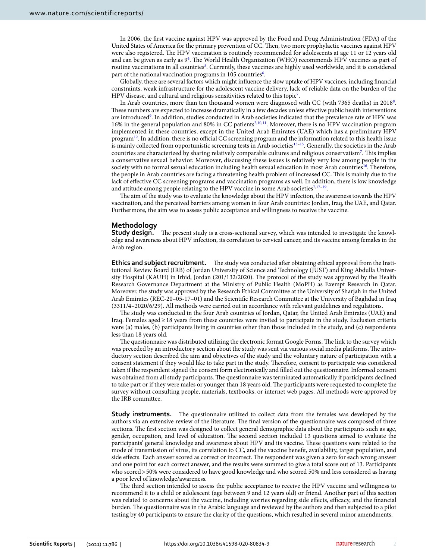In 2006, the first vaccine against HPV was approved by the Food and Drug Administration (FDA) of the United States of America for the primary prevention of CC. Then, two more prophylactic vaccines against HPV were also registered. The HPV vaccination is routinely recommended for adolescents at age 11 or 12 years old and can be given as early as 9<sup>[4](#page-6-3)</sup>. The World Health Organization (WHO) recommends HPV vaccines as part of routine vaccinations in all countries<sup>[5](#page-6-4)</sup>. Currently, these vaccines are highly used worldwide, and it is considered part of the national vaccination programs in 105 countries<sup>[6](#page-6-5)</sup>.

Globally, there are several factors which might influence the slow uptake of HPV vaccines, including financial constraints, weak infrastructure for the adolescent vaccine delivery, lack of reliable data on the burden of the HPV disease, and cultural and religious sensitivities related to this topic[7](#page-6-6) .

In Arab countries, more than ten thousand women were diagnosed with CC (with 7365 deaths) in 2018[8](#page-6-7) . These numbers are expected to increase dramatically in a few decades unless effective public health interventions are introduced<sup>[9](#page-6-8)</sup>. In addition, studies conducted in Arab societies indicated that the prevalence rate of HPV was 16% in the general population and 80% in CC patients[2,](#page-6-1)[10,](#page-6-9)[11](#page-6-10). Moreover, there is no HPV vaccination program implemented in these countries, except in the United Arab Emirates (UAE) which has a preliminary HPV program[12](#page-6-11). In addition, there is no official CC screening program and the information related to this health issue is mainly collected from opportunistic screening tests in Arab societies<sup>[13](#page-6-12)-15</sup>. Generally, the societies in the Arab countries are characterized by sharing relatively comparable cultures and religious conservatism[7](#page-6-6) . This implies a conservative sexual behavior. Moreover, discussing these issues is relatively very low among people in the society with no formal sexual education including health sexual education in most Arab countries<sup>[16](#page-6-14)</sup>. Therefore, the people in Arab countries are facing a threatening health problem of increased CC. This is mainly due to the lack of effective CC screening programs and vaccination programs as well. In addition, there is low knowledge and attitude among people relating to the HPV vaccine in some Arab societies<sup>[7,](#page-6-6)17-[19](#page-6-16)</sup>.

The aim of the study was to evaluate the knowledge about the HPV infection, the awareness towards the HPV vaccination, and the perceived barriers among women in four Arab countries: Jordan, Iraq, the UAE, and Qatar. Furthermore, the aim was to assess public acceptance and willingness to receive the vaccine.

#### **Methodology**

**Study design.** The present study is a cross-sectional survey, which was intended to investigate the knowledge and awareness about HPV infection, its correlation to cervical cancer, and its vaccine among females in the Arab region.

**Ethics and subject recruitment.** The study was conducted after obtaining ethical approval from the Institutional Review Board (IRB) of Jordan University of Science and Technology (JUST) and King Abdulla University Hospital (KAUH) in Irbid, Jordan (201/132/2020). The protocol of the study was approved by the Health Research Governance Department at the Ministry of Public Health (MoPH) as Exempt Research in Qatar. Moreover, the study was approved by the Research Ethical Committee at the University of Sharjah in the United Arab Emirates (REC-20–05-17–01) and the Scientific Research Committee at the University of Baghdad in Iraq (3311/4–2020/6/29). All methods were carried out in accordance with relevant guidelines and regulations.

The study was conducted in the four Arab countries of Jordan, Qatar, the United Arab Emirates (UAE) and Iraq. Females aged ≥ 18 years from these countries were invited to participate in the study. Exclusion criteria were (a) males, (b) participants living in countries other than those included in the study, and (c) respondents less than 18 years old.

The questionnaire was distributed utilizing the electronic format Google Forms. The link to the survey which was preceded by an introductory section about the study was sent via various social media platforms. The introductory section described the aim and objectives of the study and the voluntary nature of participation with a consent statement if they would like to take part in the study. Therefore, consent to participate was considered taken if the respondent signed the consent form electronically and filled out the questionnaire. Informed consent was obtained from all study participants. The questionnaire was terminated automatically if participants declined to take part or if they were males or younger than 18 years old. The participants were requested to complete the survey without consulting people, materials, textbooks, or internet web pages. All methods were approved by the IRB committee.

**Study instruments.** The questionnaire utilized to collect data from the females was developed by the authors via an extensive review of the literature. The final version of the questionnaire was composed of three sections. The first section was designed to collect general demographic data about the participants such as age, gender, occupation, and level of education. The second section included 13 questions aimed to evaluate the participants' general knowledge and awareness about HPV and its vaccine. These questions were related to the mode of transmission of virus, its correlation to CC, and the vaccine benefit, availability, target population, and side effects. Each answer scored as correct or incorrect. The respondent was given a zero for each wrong answer and one point for each correct answer, and the results were summed to give a total score out of 13. Participants who scored > 50% were considered to have good knowledge and who scored 50% and less considered as having a poor level of knowledge/awareness.

The third section intended to assess the public acceptance to receive the HPV vaccine and willingness to recommend it to a child or adolescent (age between 9 and 12 years old) or friend. Another part of this section was related to concerns about the vaccine, including worries regarding side effects, efficacy, and the financial burden. The questionnaire was in the Arabic language and reviewed by the authors and then subjected to a pilot testing by 40 participants to ensure the clarity of the questions, which resulted in several minor amendments.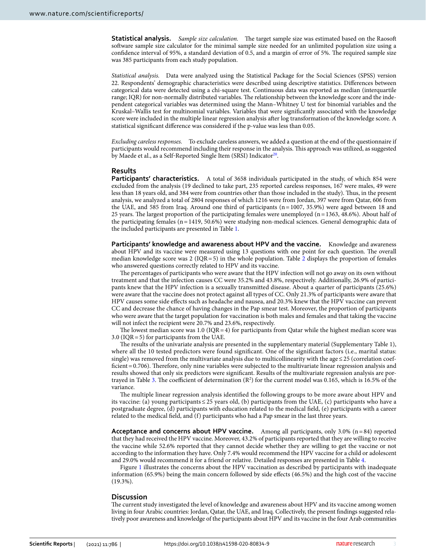**Statistical analysis.** Sample size calculation. The target sample size was estimated based on the Raosoft software sample size calculator for the minimal sample size needed for an unlimited population size using a confidence interval of 95%, a standard deviation of 0.5, and a margin of error of 5%. The required sample size was 385 participants from each study population.

Statistical analysis. Data were analyzed using the Statistical Package for the Social Sciences (SPSS) version 22. Respondents' demographic characteristics were described using descriptive statistics. Differences between categorical data were detected using a chi-square test. Continuous data was reported as median (interquartile range; IQR) for non-normally distributed variables. The relationship between the knowledge score and the independent categorical variables was determined using the Mann–Whitney U test for binomial variables and the Kruskal–Wallis test for multinomial variables. Variables that were significantly associated with the knowledge score were included in the multiple linear regression analysis after log transformation of the knowledge score. A statistical significant difference was considered if the p-value was less than 0.05.

Excluding careless responses. To exclude careless answers, we added a question at the end of the questionnaire if participants would recommend including their response in the analysis. This approach was utilized, as suggested by Maede et al., as a Self-Reported Single Item (SRSI) Indicator<sup>[20](#page-6-17)</sup>.

#### **Results**

Participants' characteristics. A total of 3658 individuals participated in the study, of which 854 were excluded from the analysis (19 declined to take part, 235 reported careless responses, 167 were males, 49 were less than 18 years old, and 384 were from countries other than those included in the study). Thus, in the present analysis, we analyzed a total of 2804 responses of which 1216 were from Jordan, 397 were from Qatar, 606 from the UAE, and 585 from Iraq. Around one third of participants (n = 1007, 35.9%) were aged between 18 and 25 years. The largest proportion of the participating females were unemployed ( $n = 1363$ ,  $48.6\%$ ). About half of the participating females (n = 1419, 50.6%) were studying non-medical sciences. General demographic data of the included participants are presented in Table [1](#page-3-0).

**Participants' knowledge and awareness about HPV and the vaccine.** Knowledge and awareness about HPV and its vaccine were measured using 13 questions with one point for each question. The overall median knowledge score was [2](#page-4-0) (IQR = 5) in the whole population. Table  $\overline{2}$  displays the proportion of females who answered questions correctly related to HPV and its vaccine.

The percentages of participants who were aware that the HPV infection will not go away on its own without treatment and that the infection causes CC were 35.2% and 43.8%, respectively. Additionally, 26.9% of participants knew that the HPV infection is a sexually transmitted disease. About a quarter of participants (25.6%) were aware that the vaccine does not protect against all types of CC. Only 21.3% of participants were aware that HPV causes some side effects such as headache and nausea, and 20.3% knew that the HPV vaccine can prevent CC and decrease the chance of having changes in the Pap smear test. Moreover, the proportion of participants who were aware that the target population for vaccination is both males and females and that taking the vaccine will not infect the recipient were 20.7% and 23.6%, respectively.

The lowest median score was  $1.0$  (IQR = 4) for participants from Qatar while the highest median score was 3.0 (IQR = 5) for participants from the UAE.

The results of the univariate analysis are presented in the supplementary material (Supplementary Table 1), where all the 10 tested predictors were found significant. One of the significant factors (i.e., marital status: single) was removed from the multivariate analysis due to multicollinearity with the age ≤ 25 (correlation coefficient = 0.706). Therefore, only nine variables were subjected to the multivariate linear regression analysis and results showed that only six predictors were significant. Results of the multivariate regression analysis are por-trayed in Table [3](#page-4-1). The coefficient of determination  $(R^2)$  for the current model was 0.165, which is 16.5% of the variance.

The multiple linear regression analysis identified the following groups to be more aware about HPV and its vaccine: (a) young participants ≤ 25 years old, (b) participants from the UAE, (c) participants who have a postgraduate degree, (d) participants with education related to the medical field, (e) participants with a career related to the medical field, and (f) participants who had a Pap smear in the last three years.

**Acceptance and concerns about HPV vaccine.** Among all participants, only 3.0% (n = 84) reported that they had received the HPV vaccine. Moreover, 43.2% of participants reported that they are willing to receive the vaccine while 52.6% reported that they cannot decide whether they are willing to get the vaccine or not according to the information they have. Only 7.4% would recommend the HPV vaccine for a child or adolescent and 29.0% would recommend it for a friend or relative. Detailed responses are presented in Table [4](#page-5-0).

Figure [1](#page-5-1) illustrates the concerns about the HPV vaccination as described by participants with inadequate information (65.9%) being the main concern followed by side effects (46.5%) and the high cost of the vaccine (19.3%).

#### **Discussion**

The current study investigated the level of knowledge and awareness about HPV and its vaccine among women living in four Arabic countries: Jordan, Qatar, the UAE, and Iraq. Collectively, the present findings suggested relatively poor awareness and knowledge of the participants about HPV and its vaccine in the four Arab communities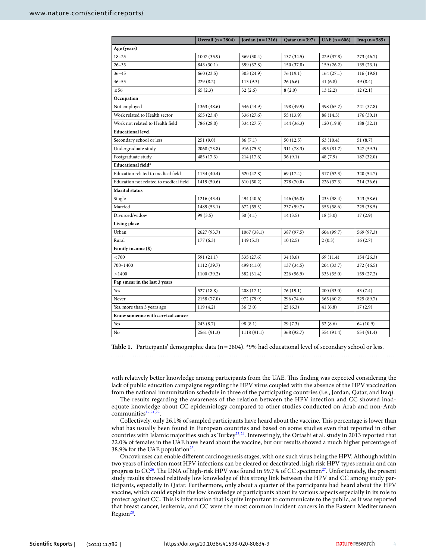|                                        | Overall $(n=2804)$ | Jordan $(n=1216)$ | Qatar $(n=397)$ | $UAE (n = 606)$ | Iraq $(n=585)$ |  |  |  |
|----------------------------------------|--------------------|-------------------|-----------------|-----------------|----------------|--|--|--|
| Age (years)                            |                    |                   |                 |                 |                |  |  |  |
| $18 - 25$                              | 1007 (35.9)        | 369 (30.4)        | 137 (34.5)      | 229 (37.8)      | 273 (46.7)     |  |  |  |
| $26 - 35$                              | 843 (30.1)         | 399 (32.8)        | 150(37.8)       | 159 (26.2)      | 135(23.1)      |  |  |  |
| $36 - 45$                              | 660 (23.5)         | 303 (24.9)        | 76 (19.1)       | 164(27.1)       | 116(19.8)      |  |  |  |
| $46 - 55$                              | 229(8.2)           | 113(9.3)          | 26(6.6)         | 41(6.8)         | 49 (8.4)       |  |  |  |
| $\geq 56$                              | 65(2.3)            | 32(2.6)           | 8(2.0)          | 13(2.2)         | 12(2.1)        |  |  |  |
| Occupation                             |                    |                   |                 |                 |                |  |  |  |
| Not employed                           | 1363 (48.6)        | 546 (44.9)        | 198 (49.9)      | 398 (65.7)      | 221 (37.8)     |  |  |  |
| Work related to Health sector          | 655 (23.4)         | 336 (27.6)        | 55 (13.9)       | 88 (14.5)       | 176(30.1)      |  |  |  |
| Work not related to Health field       | 786 (28.0)         | 334 (27.5)        | 144 (36.3)      | 120(19.8)       | 188(32.1)      |  |  |  |
| <b>Educational level</b>               |                    |                   |                 |                 |                |  |  |  |
| Secondary school or less               | 251(9.0)           | 86(7.1)           | 50 (12.5)       | 63 (10.4)       | 51(8.7)        |  |  |  |
| Undergraduate study                    | 2068 (73.8)        | 916 (75.3)        | 311 (78.3)      | 495 (81.7)      | 347 (59.3)     |  |  |  |
| Postgraduate study                     | 485 (17.3)         | 214 (17.6)        | 36(9.1)         | 48 (7.9)        | 187(32.0)      |  |  |  |
| Educational field*                     |                    |                   |                 |                 |                |  |  |  |
| Education related to medical field     | 1134 (40.4)        | 520 (42.8)        | 69 (17.4)       | 317 (52.3)      | 320 (54.7)     |  |  |  |
| Education not related to medical field | 1419 (50.6)        | 610(50.2)         | 278 (70.0)      | 226 (37.3)      | 214 (36.6)     |  |  |  |
| Marital status                         |                    |                   |                 |                 |                |  |  |  |
| Single                                 | 1216 (43.4)        | 494 (40.6)        | 146 (36.8)      | 233 (38.4)      | 343 (58.6)     |  |  |  |
| Married                                | 1489 (53.1)        | 672 (55.3)        | 237(59.7)       | 355 (58.6)      | 225(38.5)      |  |  |  |
| Divorced/widow                         | 99 (3.5)           | 50(4.1)           | 14(3.5)         | 18(3.0)         | 17(2.9)        |  |  |  |
| Living place                           |                    |                   |                 |                 |                |  |  |  |
| Urban                                  | 2627 (93.7)        | 1067(38.1)        | 387 (97.5)      | 604 (99.7)      | 569 (97.3)     |  |  |  |
| Rural                                  | 177(6.3)           | 149(5.3)          | 10(2.5)         | 2(0.3)          | 16(2.7)        |  |  |  |
| Family income (\$)                     |                    |                   |                 |                 |                |  |  |  |
| < 700                                  | 591 (21.1)         | 335 (27.6)        | 34(8.6)         | 69 (11.4)       | 154(26.3)      |  |  |  |
| 700-1400                               | 1112 (39.7)        | 499 (41.0)        | 137(34.5)       | 204 (33.7)      | 272 (46.5)     |  |  |  |
| >1400                                  | 1100 (39.2)        | 382 (31.4)        | 226 (56.9)      | 333 (55.0)      | 159 (27.2)     |  |  |  |
| Pap smear in the last 3 years          |                    |                   |                 |                 |                |  |  |  |
| Yes                                    | 527 (18.8)         | 208 (17.1)        | 76 (19.1)       | 200 (33.0)      | 43 (7.4)       |  |  |  |
| Never                                  | 2158 (77.0)        | 972 (79.9)        | 296 (74.6)      | 365 (60.2)      | 525 (89.7)     |  |  |  |
| Yes, more than 3 years ago             | 119(4.2)           | 36(3.0)           | 25(6.3)         | 41(6.8)         | 17(2.9)        |  |  |  |
| Know someone with cervical cancer      |                    |                   |                 |                 |                |  |  |  |
| Yes                                    | 243(8.7)           | 98 (8.1)          | 29(7.3)         | 52(8.6)         | 64 (10.9)      |  |  |  |
| No                                     | 2561 (91.3)        | 1118 (91.1)       | 368 (92.7)      | 554 (91.4)      | 554 (91.4)     |  |  |  |

<span id="page-3-0"></span>Table 1. Participants' demographic data (n = 2804). \*9% had educational level of secondary school or less.

with relatively better knowledge among participants from the UAE. This finding was expected considering the lack of public education campaigns regarding the HPV virus coupled with the absence of the HPV vaccination from the national immunization schedule in three of the participating countries (i.e., Jordan, Qatar, and Iraq).

The results regarding the awareness of the relation between the HPV infection and CC showed inadequate knowledge about CC epidemiology compared to other studies conducted on Arab and non-Arab communities $17,21,2$  $17,21,2$  $17,21,2$  $17,21,2$ .

Collectively, only 26.1% of sampled participants have heard about the vaccine. This percentage is lower than what has usually been found in European countries and based on some studies even that reported in other countries with Islamic majorities such as Turkey<sup>[23](#page-6-20)[,24](#page-6-21)</sup>. Interestingly, the Ortashi et al. study in 2013 reported that 22.0% of females in the UAE have heard about the vaccine, but our results showed a much higher percentage of 38.9% for the UAE population<sup>[25](#page-6-22)</sup>.

Oncoviruses can enable different carcinogenesis stages, with one such virus being the HPV. Although within two years of infection most HPV infections can be cleared or deactivated, high risk HPV types remain and can progress to  $CC^{26}$  $CC^{26}$  $CC^{26}$ . The DNA of high-risk HPV was found in 99.7% of CC specimen<sup>[27](#page-6-24)</sup>. Unfortunately, the present study results showed relatively low knowledge of this strong link between the HPV and CC among study participants, especially in Qatar. Furthermore, only about a quarter of the participants had heard about the HPV vaccine, which could explain the low knowledge of participants about its various aspects especially in its role to protect against CC. This is information that is quite important to communicate to the public, as it was reported that breast cancer, leukemia, and CC were the most common incident cancers in the Eastern Mediterranean Region<sup>[28](#page-7-0)</sup>.

4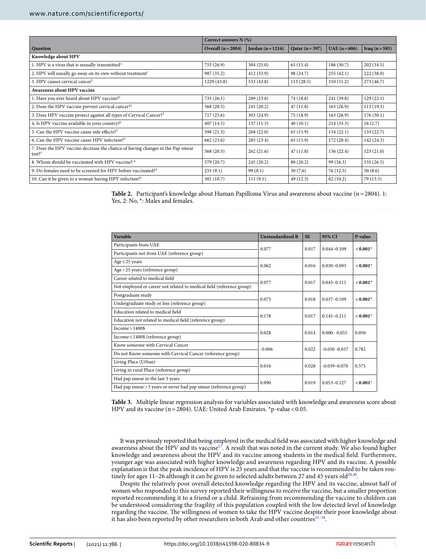|                                                                                                        | Correct answers $N(\%)$ |                   |                 |                 |                |  |  |
|--------------------------------------------------------------------------------------------------------|-------------------------|-------------------|-----------------|-----------------|----------------|--|--|
| Question                                                                                               | Overall $(n=2804)$      | Jordan $(n=1216)$ | Qatar $(n=397)$ | $UAE (n = 606)$ | Iraq $(n=585)$ |  |  |
| Knowledge about HPV                                                                                    |                         |                   |                 |                 |                |  |  |
| 1. HPV is a virus that is sexually transmitted <sup>1</sup>                                            | 753 (26.9)              | 304(25.0)         | 61(15.4)        | 186 (30.7)      | 202(34.5)      |  |  |
| 2. HPV will usually go away on its own without treatment <sup>1</sup>                                  | 987 (35.2)              | 412 (33.9)        | 98 (24.7)       | 255(42.1)       | 222(38.0)      |  |  |
| 3. HPV causes cervical cancer <sup>1</sup>                                                             | 1229(43.8)              | 533 (43.8)        | 113(28.5)       | 310 (51.2)      | 273 (46.7)     |  |  |
| Awareness about HPV vaccine                                                                            |                         |                   |                 |                 |                |  |  |
| 1. Have you ever heard about HPV vaccine? <sup>1</sup>                                                 | 733(26.1)               | 289(23.8)         | 74 (18.6)       | 241 (39.8)      | 129(22.1)      |  |  |
| 2. Does the HPV vaccine prevent cervical cancer? <sup>1</sup>                                          | 568(20.3)               | 245(20.2)         | 47(11.8)        | 163(26.9)       | 113 (19.3)     |  |  |
| 3. Does HPV vaccine protect against all types of Cervical Cancer? <sup>2</sup>                         | 717 (25.6)              | 303 (24.9)        | 75 (18.9)       | 163(26.9)       | 176(30.1)      |  |  |
| 4. Is HPV vaccine available in your country? <sup>1</sup>                                              | 407(14.5)               | 137(11.3)         | 40(10.1)        | 214 (35.3)      | 16(2.7)        |  |  |
| 5. Can the HPV vaccine cause side effects? <sup>1</sup>                                                | 598 (21.3)              | 268(22.0)         | 63 (15.9)       | 134(22.1)       | 133 (22.7)     |  |  |
| 6. Can the HPV vaccine cause HPV infection? <sup>2</sup>                                               | 662 (23.6)              | 285 (23.4)        | 63 (15.9)       | 172 (28.4)      | 142(24.3)      |  |  |
| 7. Does the HPV vaccine decrease the chance of having changes in the Pap smear<br>$test?$ <sup>1</sup> | 568 (20.3)              | 262(21.6)         | 47(11.8)        | 136 (22.4)      | 123(21.0)      |  |  |
| 8. Whom should be vaccinated with HPV vaccine? *                                                       | 579 (20.7)              | 245(20.2)         | 80(20.2)        | 99 (16.3)       | 155(26.5)      |  |  |
| 9. Do females need to be screened for HPV before vaccinated? <sup>2</sup>                              | 255(9.1)                | 99(8.1)           | 30(7.6)         | 76 (12.5)       | 50(8.6)        |  |  |
| 10. Can it be given to a woman having HPV infection? <sup>1</sup>                                      | 301(10.7)               | 111(9.1)          | 49 (12.3)       | 62(10.2)        | 79 (13.5)      |  |  |

<span id="page-4-0"></span>**Table 2.** Participant's knowledge about Human Papilloma Virus and awareness about vaccine (n = 2804). 1: Yes, 2: No,  $*$ : Males and females.

| Variable                                                              | <b>Unstandardized B</b> | <b>SE</b> | 95% CI           | P-value    |
|-----------------------------------------------------------------------|-------------------------|-----------|------------------|------------|
| Participants from UAE                                                 | 0.077                   | 0.017     | $0.044 - 0.109$  | $< 0.001*$ |
| Participants not from UAE (reference group)                           |                         |           |                  |            |
| Age $\leq$ 25 years                                                   | 0.062                   | 0.016     | $0.030 - 0.095$  | $< 0.001*$ |
| Age > 25 years (reference group)                                      |                         |           |                  |            |
| Career related to medical field                                       | 0.077                   | 0.017     | $0.043 - 0.111$  | $< 0.001*$ |
| Not employed or career not related to medical field (reference group) |                         |           |                  |            |
| Postgraduate study                                                    | 0.073                   | 0.018     | $0.037 - 0.109$  | $< 0.001*$ |
| Undergraduate study or less (reference group)                         |                         |           |                  |            |
| Education related to medical field                                    | 0.178                   | 0.017     | $0.145 - 0.211$  | $< 0.001*$ |
| Education not related to medical field (reference group)              |                         |           |                  |            |
| Income > 1400\$                                                       | 0.028                   | 0.014     | $0.000 - 0.055$  | 0.050      |
| Income $\leq$ 1400\$ (reference group)                                |                         |           |                  |            |
| Know someone with Cervical Cancer                                     | $-0.006$                | 0.022     | $-0.050 - 0.037$ | 0.782      |
| Do not Know someone with Cervical Cancer (reference group)            |                         |           |                  |            |
| Living Place (Urban)                                                  |                         | 0.028     | $-0.039 - 0.070$ | 0.575      |
| Living in rural Place (reference group)                               | 0.016                   |           |                  |            |
| Had pap smear in the last 3 years                                     |                         | 0.019     | $0.053 - 0.127$  |            |
| Had pap smear > 3 years or never had pap smear (reference group)      | 0.090                   |           |                  | $< 0.001*$ |

<span id="page-4-1"></span>**Table 3.** Multiple linear regression analysis for variables associated with knowledge and awareness score about HPV and its vaccine ( $n = 2804$ ). UAE: United Arab Emirates. \*p-value < 0.05.

It was previously reported that being employed in the medical field was associated with higher knowledge and awareness about the HPV and its vaccine<sup>[17](#page-6-15)</sup>. A result that was noted in the current study. We also found higher knowledge and awareness about the HPV and its vaccine among students in the medical field. Furthermore, younger age was associated with higher knowledge and awareness regarding HPV and its vaccine. A possible explanation is that the peak incidence of HPV is 25 years and that the vaccine is recommended to be taken rou-tinely for ages 11-26 although it can be given to selected adults between 27 and 45 years old<sup>[29](#page-7-1)[,30](#page-7-2)</sup>.

Despite the relatively poor overall detected knowledge regarding the HPV and its vaccine, almost half of women who responded to this survey reported their willingness to receive the vaccine, but a smaller proportion reported recommending it to a friend or a child. Refraining from recommending the vaccine to children can be understood considering the fragility of this population coupled with the low detected level of knowledge regarding the vaccine. The willingness of women to take the HPV vaccine despite their poor knowledge about it has also been reported by other researchers in both Arab and other countries<sup>[31](#page-7-3)-34</sup>.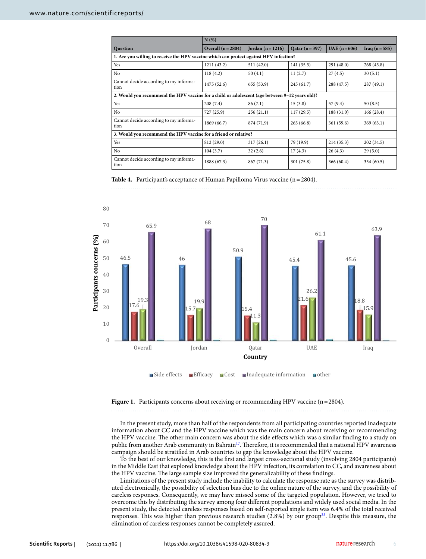|                                                                                                | N(%)               |                   |                 |                 |                |  |  |  |
|------------------------------------------------------------------------------------------------|--------------------|-------------------|-----------------|-----------------|----------------|--|--|--|
| Question                                                                                       | Overall $(n=2804)$ | Jordan $(n=1216)$ | Qatar $(n=397)$ | $UAE (n = 606)$ | Iraq $(n=585)$ |  |  |  |
| 1. Are you willing to receive the HPV vaccine which can protect against HPV infection?         |                    |                   |                 |                 |                |  |  |  |
| Yes                                                                                            | 1211 (43.2)        | 511 (42.0)        | 141 (35.5)      | 291 (48.0)      | 268(45.8)      |  |  |  |
| N <sub>0</sub>                                                                                 | 118(4.2)           | 50(4.1)           | 11(2.7)         | 27(4.5)         | 30(5.1)        |  |  |  |
| Cannot decide according to my informa-<br>tion                                                 | 1475 (52.6)        | 655(53.9)         | 245(61.7)       | 288 (47.5)      | 287(49.1)      |  |  |  |
| 2. Would you recommend the HPV vaccine for a child or adolescent (age between 9-12 years old)? |                    |                   |                 |                 |                |  |  |  |
| Yes                                                                                            | 208(7.4)           | 86(7.1)           | 15(3.8)         | 57 (9.4)        | 50(8.5)        |  |  |  |
| N <sub>0</sub>                                                                                 | 727 (25.9)         | 256(21.1)         | 117(29.5)       | 188(31.0)       | 166(28.4)      |  |  |  |
| Cannot decide according to my informa-<br>tion                                                 | 1869 (66.7)        | 874 (71.9)        | 265(66.8)       | 361(59.6)       | 369(63.1)      |  |  |  |
| 3. Would you recommend the HPV vaccine for a friend or relative?                               |                    |                   |                 |                 |                |  |  |  |
| Yes                                                                                            | 812 (29.0)         | 317(26.1)         | 79 (19.9)       | 214(35.3)       | 202(34.5)      |  |  |  |
| N <sub>o</sub>                                                                                 | 104(3.7)           | 32(2.6)           | 17(4.3)         | 26(4.3)         | 29(5.0)        |  |  |  |
| Cannot decide according to my informa-<br>tion                                                 | 1888 (67.3)        | 867 (71.3)        | 301(75.8)       | 366(60.4)       | 354(60.5)      |  |  |  |

<span id="page-5-0"></span>Table 4. Participant's acceptance of Human Papilloma Virus vaccine (n = 2804).



<span id="page-5-1"></span>Figure 1. Participants concerns about receiving or recommending HPV vaccine (n = 2804).

In the present study, more than half of the respondents from all participating countries reported inadequate information about CC and the HPV vaccine which was the main concern about receiving or recommending the HPV vaccine. The other main concern was about the side effects which was a similar finding to a study on public from another Arab community in Bahrain<sup>[17](#page-6-15)</sup>. Therefore, it is recommended that a national HPV awareness campaign should be stratified in Arab countries to gap the knowledge about the HPV vaccine.

To the best of our knowledge, this is the first and largest cross-sectional study (involving 2804 participants) in the Middle East that explored knowledge about the HPV infection, its correlation to CC, and awareness about the HPV vaccine. The large sample size improved the generalizability of these findings.

Limitations of the present study include the inability to calculate the response rate as the survey was distributed electronically, the possibility of selection bias due to the online nature of the survey, and the possibility of careless responses. Consequently, we may have missed some of the targeted population. However, we tried to overcome this by distributing the survey among four different populations and widely used social media. In the present study, the detected careless responses based on self-reported single item was 6.4% of the total received responses. This was higher than previous research studies (2.8%) by our group[35](#page-7-5). Despite this measure, the elimination of careless responses cannot be completely assured.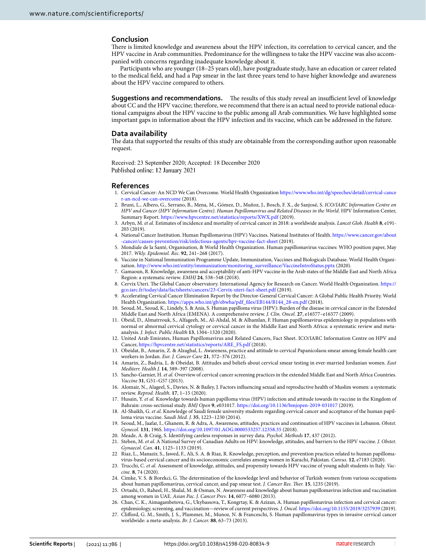#### **Conclusion**

There is limited knowledge and awareness about the HPV infection, its correlation to cervical cancer, and the HPV vaccine in Arab communities. Predominance for the willingness to take the HPV vaccine was also accompanied with concerns regarding inadequate knowledge about it.

Participants who are younger (18–25 years old), have postgraduate study, have an education or career related to the medical field, and had a Pap smear in the last three years tend to have higher knowledge and awareness about the HPV vaccine compared to others.

**Suggestions and recommendations.** The results of this study reveal an insufficient level of knowledge about CC and the HPV vaccine; therefore, we recommend that there is an actual need to provide national educational campaigns about the HPV vaccine to the public among all Arab communities. We have highlighted some important gaps in information about the HPV infection and its vaccine, which can be addressed in the future.

#### **Data availability**

The data that supported the results of this study are obtainable from the corresponding author upon reasonable request.

Received: 23 September 2020; Accepted: 18 December 2020 Published online: 12 January 2021

#### **References**

- <span id="page-6-0"></span>1. Cervical Cancer: An NCD We Can Overcome. World Health Organization https://www.who.int/dg/speeches/detail/cervical-cance r-an-ncd-we-can-overcome (2018).
- <span id="page-6-1"></span> 2. Bruni, L., Albero, G., Serrano, B., Mena, M., Gómez, D., Muñoz, J., Bosch, F. X., de Sanjosé, S. ICO/IARC Information Centre on HPV and Cancer (HPV Information Centre). Human Papillomavirus and Related Diseases in the World. HPV Information Center, Summary Report. https://www.hpvcentre.net/statistics/reports/XWX.pdf (2019).
- <span id="page-6-2"></span> 3. Arbyn, M. et al. Estimates of incidence and mortality of cervical cancer in 2018: a worldwide analysis. Lancet Glob. Health **8**, e191- 203 (2019).
- <span id="page-6-3"></span>4. National Cancer Institution. Human Papillomavirus (HPV) Vaccines. National Institutes of Health. https://www.cancer.gov/about cancer/causes-prevention/risk/infectious-agents/hpv-vaccine-fact-sheet (2019)
- <span id="page-6-4"></span> 5. Mondiale de la Santé, Organisation, & World Health Organization. Human papillomavirus vaccines: WHO position paper, May 2017. Wkly. Epidemiol. Rec. **92**, 241–268 (2017).
- <span id="page-6-5"></span> 6. Vaccine in National Immunization Programme Update, Immunization, Vaccines and Biologicals Database. World Health Organization. http://www.who.int/entity/immunization/monitoring\_surveillance/VaccineIntroStatus.pptx (2020).
- <span id="page-6-6"></span> 7. Gamaoun, R. Knowledge, awareness and acceptability of anti-HPV vaccine in the Arab states of the Middle East and North Africa Region: a systematic review. EMHJ **24**, 538–548 (2018).
- <span id="page-6-7"></span>8. Cervix Uteri. The Global Cancer observatory. International Agency for Research on Cancer. World Health Organization. https:// gco.iarc.fr/today/data/factsheets/cancers/23-Cervix-uteri-fact-sheet.pdf (2019)
- <span id="page-6-8"></span> 9. Accelerating Cervical Cancer Elimination Report by the Director-General Cervical Cancer: A Global Public Health Priority. World Health Organization. https://apps.who.int/gb/ebwha/pdf\_files/EB144/B144\_28-en.pdf (2018).
- <span id="page-6-9"></span> 10. Seoud, M., Seoud, K., Lindely, S. & Anis, S. Human papilloma virus (HPV): Burden of the disease in cervical cancer in the Extended Middle East and North Africa (EMENA). A comprehensive review. J. Clin. Oncol. **27**, e16577–e16577 (2009).
- <span id="page-6-10"></span> 11. Obeid, D., Almatrrouk, S., Alfageeh, M., Al-Ahdal, M. & Alhamlan, F. Human papillomavirus epidemiology in populations with normal or abnormal cervical cytology or cervical cancer in the Middle East and North Africa: a systematic review and metaanalysis. J. Infect. Public Health **13**, 1304–1320 (2020).
- <span id="page-6-11"></span> 12. United Arab Emirates, Human Papillomavirus and Related Cancers, Fact Sheet. ICO/IARC Information Centre on HPV and Cancer, https://hpvcentre.net/statistics/reports/ARE\_FS.pdf (2018).
- <span id="page-6-12"></span> 13. Obeidat, B., Amarin, Z. & Alzaghal, L. Awareness, practice and attitude to cervical Papanicolaou smear among female health care workers in Jordan. Eur. J. Cancer Care **21**, 372–376 (2012).
- 14. Amarin, Z., Badria, L. & Obeidat, B. Attitudes and beliefs about cervical smear testing in ever-married Jordanian women. East Mediterr. Health J. **14**, 389–397 (2008).
- <span id="page-6-13"></span>15. Sancho-Garnier, H. et al. Overview of cervical cancer screening practices in the extended Middle East and North Africa Countries. Vaccine **31**, G51–G57 (2013).
- <span id="page-6-14"></span> 16. Alomair, N., Alageel, S., Davies, N. & Bailey, J. Factors influencing sexual and reproductive health of Muslim women: a systematic review. Reprod. Health. **17**, 1–15 (2020).
- <span id="page-6-15"></span>17. Husain, Y. et al. Knowledge towards human papilloma virus (HPV) infection and attitude towards its vaccine in the Kingdom of Bahrain: cross-sectional study. BMJ Open 9, e031017. https://doi.org/10.1136/bmjopen-2019-031017 (2019).
- 18. Al-Shaikh, G. et al. Knowledge of Saudi female university students regarding cervical cancer and acceptance of the human papilloma virus vaccine. Saudi Med. J. **35**, 1223–1230 (2014).
- <span id="page-6-16"></span> 19. Seoud, M., Jaafar, I., Ghanem, R. & Adra, A. Awareness, attitudes, practices and continuation of HPV vaccines in Lebanon. Obstet. Gynecol. **131**, 196S. [https ://doi.org/10.1097/01.AOG.00005 33257 .12358 .35](https://doi.org/10.1097/01.AOG.0000533257.12358.35) (2018).
- <span id="page-6-17"></span>20. Meade, A. & Craig, S. Identifying careless responses in survey data. Psychol. Methods **17**, 437 (2012).
- <span id="page-6-18"></span> 21. Steben, M. et al. A National Survey of Canadian Adults on HPV: knowledge, attitudes, and barriers to the HPV vaccine. J. Obstet. Gynaecol. Can. **41**, 1125–1133 (2019).
- <span id="page-6-19"></span> 22 Riaz, L., Manazir, S., Jawed, F., Ali, S. A. & Riaz, R. Knowledge, perception, and prevention practices related to human papillomavirus-based cervical cancer and its socioeconomic correlates among women in Karachi, Pakistan. Cureus. **12**, e7183 (2020).
- <span id="page-6-20"></span>23. Trucchi, C. et al. Assessment of knowledge, attitudes, and propensity towards HPV vaccine of young adult students in Italy. Vaccine. **8**, 74 (2020).
- <span id="page-6-21"></span> 24. Cimke, V. S. & Borekci, G. The determination of the knowledge level and behavior of Turkish women from various occupations about human papillomavirus, cervical cancer, and pap smear test. J. Cancer Res. Ther. **15**, 1235 (2019).
- <span id="page-6-22"></span> 25. Ortashi, O., Raheel, H., Shalal, M. & Osman, N. Awareness and knowledge about human papillomavirus infection and vaccination among women in UAE. Asian Pac. J. Cancer Prev. **14**, 6077–6080 (2013).
- <span id="page-6-23"></span> 26. Chan, C. K., Aimagambetova, G., Ukybassova, T., Kongrtay, K. & Azizan, A. Human papillomavirus infection and cervical cancer: epidemiology, screening, and vaccination—review of current perspectives. J. Oncol. https://doi.org/10.1155/2019/3257939 (2019).
- <span id="page-6-24"></span> 27. Clifford, G. M., Smith, J. S., Plummer, M., Munoz, N. & Franceschi, S. Human papillomavirus types in invasive cervical cancer worldwide: a meta-analysis. Br. J. Cancer. **88**, 63–73 (2013).

7